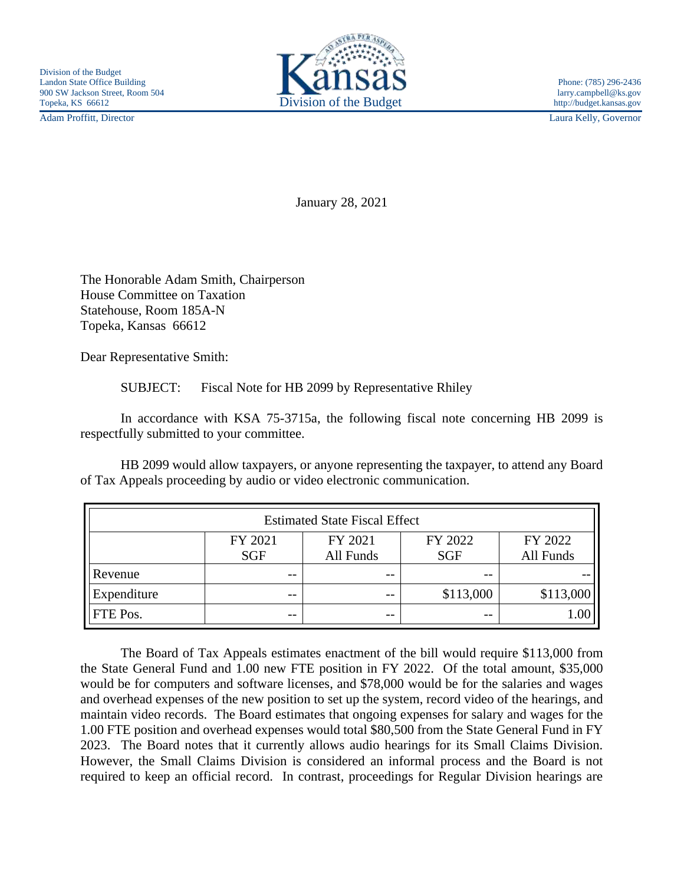

Adam Proffitt, Director Laura Kelly, Governor

January 28, 2021

The Honorable Adam Smith, Chairperson House Committee on Taxation Statehouse, Room 185A-N Topeka, Kansas 66612

Dear Representative Smith:

SUBJECT: Fiscal Note for HB 2099 by Representative Rhiley

In accordance with KSA 75-3715a, the following fiscal note concerning HB 2099 is respectfully submitted to your committee.

HB 2099 would allow taxpayers, or anyone representing the taxpayer, to attend any Board of Tax Appeals proceeding by audio or video electronic communication.

| <b>Estimated State Fiscal Effect</b> |            |           |            |           |
|--------------------------------------|------------|-----------|------------|-----------|
|                                      | FY 2021    | FY 2021   | FY 2022    | FY 2022   |
|                                      | <b>SGF</b> | All Funds | <b>SGF</b> | All Funds |
| Revenue                              | --         | $ -$      | $- -$      |           |
| Expenditure                          | $- -$      | $ -$      | \$113,000  | \$113,000 |
| FTE Pos.                             | $ -$       | $ -$      | $- -$      | 0.00      |

The Board of Tax Appeals estimates enactment of the bill would require \$113,000 from the State General Fund and 1.00 new FTE position in FY 2022. Of the total amount, \$35,000 would be for computers and software licenses, and \$78,000 would be for the salaries and wages and overhead expenses of the new position to set up the system, record video of the hearings, and maintain video records. The Board estimates that ongoing expenses for salary and wages for the 1.00 FTE position and overhead expenses would total \$80,500 from the State General Fund in FY 2023. The Board notes that it currently allows audio hearings for its Small Claims Division. However, the Small Claims Division is considered an informal process and the Board is not required to keep an official record. In contrast, proceedings for Regular Division hearings are